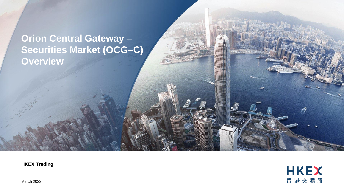# **Orion Central Gateway – Securities Market (OCG–C) Overview**

**HKEX Trading**



March 2022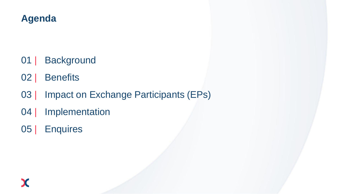# **Agenda**

- 01 | Background
- 02 | Benefits
- 03 | Impact on Exchange Participants (EPs)
- 04 | Implementation
- 05 | Enquires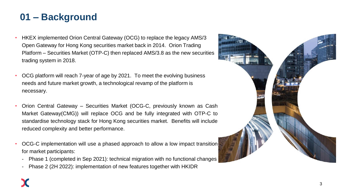# **01 – Background**

- HKEX implemented Orion Central Gateway (OCG) to replace the legacy AMS/3 Open Gateway for Hong Kong securities market back in 2014. Orion Trading Platform – Securities Market (OTP-C) then replaced AMS/3.8 as the new securities trading system in 2018.
- OCG platform will reach 7-year of age by 2021. To meet the evolving business needs and future market growth, a technological revamp of the platform is necessary.
- Orion Central Gateway Securities Market (OCG-C, previously known as Cash Market Gateway(CMG)) will replace OCG and be fully integrated with OTP-C to standardise technology stack for Hong Kong securities market. Benefits will include reduced complexity and better performance.
- OCG-C implementation will use a phased approach to allow a low impact transition for market participants:
	- Phase 1 (completed in Sep 2021): technical migration with no functional changes
	- Phase 2 (2H 2022): implementation of new features together with HKIDR

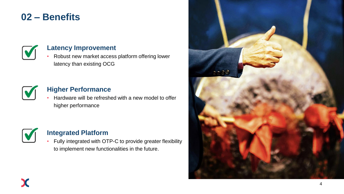## **02 – Benefits**



#### **Latency Improvement**

• Robust new market access platform offering lower latency than existing OCG



#### **Higher Performance**

• Hardware will be refreshed with a new model to offer higher performance



#### **Integrated Platform**

• Fully integrated with OTP-C to provide greater flexibility to implement new functionalities in the future.

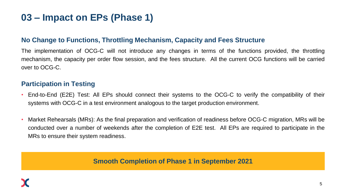# **03 – Impact on EPs (Phase 1)**

#### **No Change to Functions, Throttling Mechanism, Capacity and Fees Structure**

The implementation of OCG-C will not introduce any changes in terms of the functions provided, the throttling mechanism, the capacity per order flow session, and the fees structure. All the current OCG functions will be carried over to OCG-C.

#### **Participation in Testing**

- End-to-End (E2E) Test: All EPs should connect their systems to the OCG-C to verify the compatibility of their systems with OCG-C in a test environment analogous to the target production environment.
- Market Rehearsals (MRs): As the final preparation and verification of readiness before OCG-C migration, MRs will be conducted over a number of weekends after the completion of E2E test. All EPs are required to participate in the MRs to ensure their system readiness.

#### **Smooth Completion of Phase 1 in September 2021**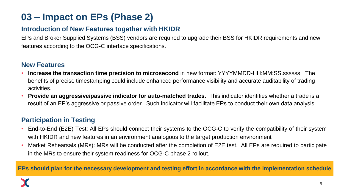# **03 – Impact on EPs (Phase 2)**

### **Introduction of New Features together with HKIDR**

EPs and Broker Supplied Systems (BSS) vendors are required to upgrade their BSS for HKIDR requirements and new features according to the OCG-C interface specifications.

### **New Features**

- **Increase the transaction time precision to microsecond** in new format: YYYYMMDD-HH:MM:SS.ssssss. The benefits of precise timestamping could include enhanced performance visibility and accurate auditability of trading activities.
- **Provide an aggressive/passive indicator for auto-matched trades.** This indicator identifies whether a trade is a result of an EP's aggressive or passive order. Such indicator will facilitate EPs to conduct their own data analysis.

### **Participation in Testing**

- End-to-End (E2E) Test: All EPs should connect their systems to the OCG-C to verify the compatibility of their system with HKIDR and new features in an environment analogous to the target production environment
- Market Rehearsals (MRs): MRs will be conducted after the completion of E2E test. All EPs are required to participate in the MRs to ensure their system readiness for OCG-C phase 2 rollout.

**EPs should plan for the necessary development and testing effort in accordance with the implementation schedule**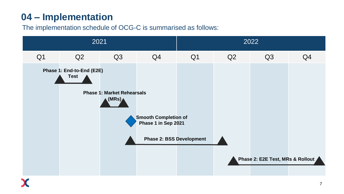# **04 – Implementation**

### The implementation schedule of OCG-C is summarised as follows:

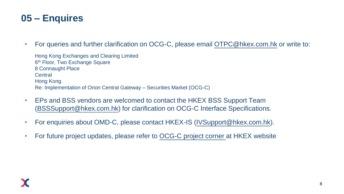## **05 – Enquires**

• For queries and further clarification on OCG-C, please email [OTPC@hkex.com.hk](mailto:OTPC@hkex.com.hk) or write to:

Hong Kong Exchanges and Clearing Limited 6<sup>th</sup> Floor, Two Exchange Square 8 Connaught Place **Central** Hong Kong Re: Implementation of Orion Central Gateway – Securities Market (OCG-C)

- EPs and BSS vendors are welcomed to contact the HKEX BSS Support Team ([BSSSupport@hkex.com.hk\)](mailto:BSSSupport@hkex.com.hk) for clarification on OCG-C Interface Specifications.
- For enquiries about OMD-C, please contact HKEX-IS ([IVSupport@hkex.com.hk\)](mailto:IVSupport@hkex.com.hk).
- For future project updates, please refer to [OCG-C project corner](https://www.hkex.com.hk/Services/Trading/Securities/Infrastructure/OCGC?sc_lang=en) at HKEX website